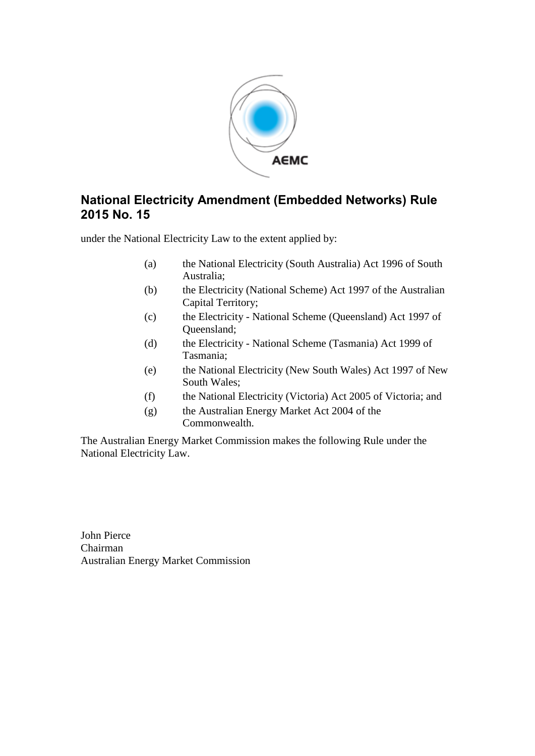

### **National Electricity Amendment (Embedded Networks) Rule 2015 No. 15**

under the National Electricity Law to the extent applied by:

- (a) the National Electricity (South Australia) Act 1996 of South Australia;
- (b) the Electricity (National Scheme) Act 1997 of the Australian Capital Territory;
- (c) the Electricity National Scheme (Queensland) Act 1997 of Queensland;
- (d) the Electricity National Scheme (Tasmania) Act 1999 of Tasmania;
- (e) the National Electricity (New South Wales) Act 1997 of New South Wales;
- (f) the National Electricity (Victoria) Act 2005 of Victoria; and
- (g) the Australian Energy Market Act 2004 of the Commonwealth.

The Australian Energy Market Commission makes the following Rule under the National Electricity Law.

John Pierce Chairman Australian Energy Market Commission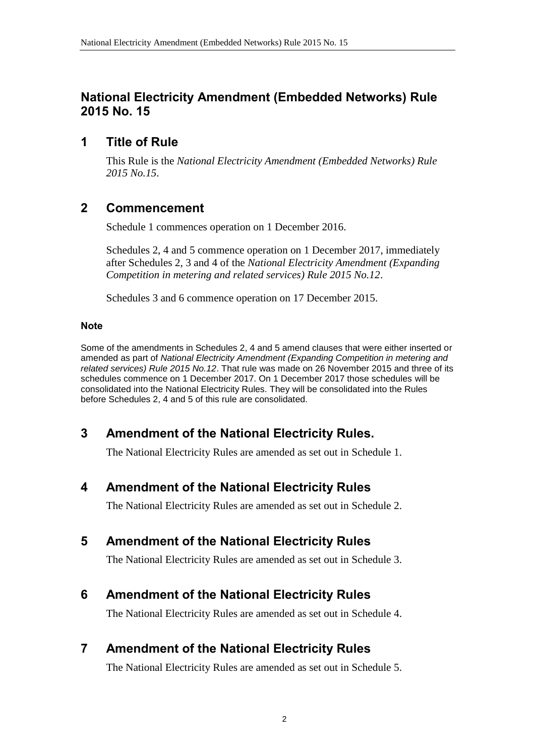### **National Electricity Amendment (Embedded Networks) Rule 2015 No. 15**

### **1 Title of Rule**

This Rule is the *National Electricity Amendment (Embedded Networks) Rule 2015 No.15*.

# **2 Commencement**

Schedule 1 commences operation on 1 December 2016.

Schedules 2, 4 and 5 commence operation on 1 December 2017, immediately after Schedules 2, 3 and 4 of the *National Electricity Amendment (Expanding Competition in metering and related services) Rule 2015 No.12*.

Schedules 3 and 6 commence operation on 17 December 2015.

#### **Note**

Some of the amendments in Schedules 2, 4 and 5 amend clauses that were either inserted or amended as part of *National Electricity Amendment (Expanding Competition in metering and related services) Rule 2015 No.12*. That rule was made on 26 November 2015 and three of its schedules commence on 1 December 2017. On 1 December 2017 those schedules will be consolidated into the National Electricity Rules. They will be consolidated into the Rules before Schedules 2, 4 and 5 of this rule are consolidated.

# <span id="page-1-0"></span>**3 Amendment of the National Electricity Rules.**

The National Electricity Rules are amended as set out in [Schedule 1.](#page-3-0)

### <span id="page-1-1"></span>**4 Amendment of the National Electricity Rules**

The National Electricity Rules are amended as set out in [Schedule 2.](#page-4-0)

# <span id="page-1-2"></span>**5 Amendment of the National Electricity Rules**

The National Electricity Rules are amended as set out in [Schedule 3.](#page-5-0)

# **6 Amendment of the National Electricity Rules**

The National Electricity Rules are amended as set out in [Schedule 4.](#page-7-0)

# **7 Amendment of the National Electricity Rules**

The National Electricity Rules are amended as set out in [Schedule 5.](#page-18-0)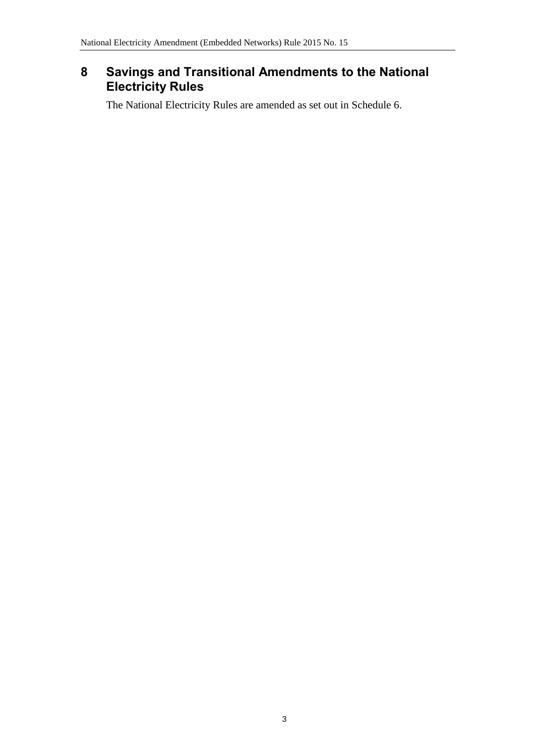# <span id="page-2-0"></span>**8 Savings and Transitional Amendments to the National Electricity Rules**

The National Electricity Rules are amended as set out in [Schedule 6.](#page-22-0)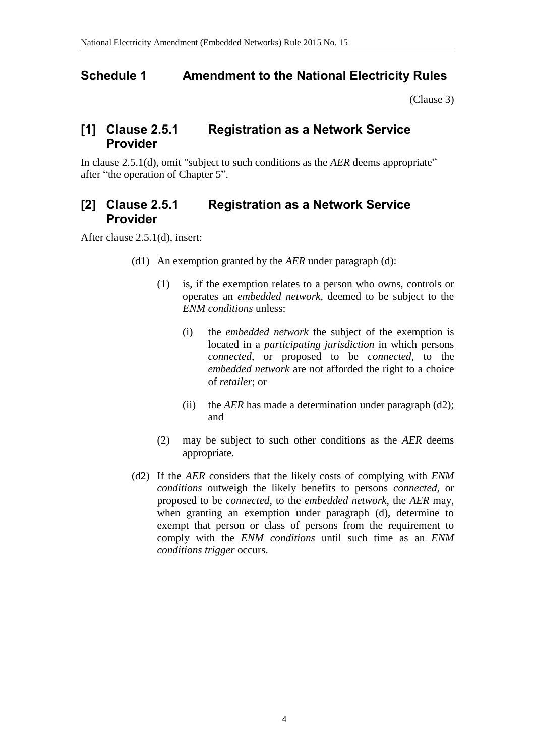### <span id="page-3-0"></span>**Schedule 1 Amendment to the National Electricity Rules**

[\(Clause 3\)](#page-1-0)

### **[1] Clause 2.5.1 Registration as a Network Service Provider**

In clause 2.5.1(d), omit "subject to such conditions as the *AER* deems appropriate" after "the operation of Chapter 5".

## **[2] Clause 2.5.1 Registration as a Network Service Provider**

After clause 2.5.1(d), insert:

- (d1) An exemption granted by the *AER* under paragraph (d):
	- (1) is, if the exemption relates to a person who owns, controls or operates an *embedded network*, deemed to be subject to the *ENM conditions* unless:
		- (i) the *embedded network* the subject of the exemption is located in a *participating jurisdiction* in which persons *connected*, or proposed to be *connected*, to the *embedded network* are not afforded the right to a choice of *retailer*; or
		- (ii) the *AER* has made a determination under paragraph (d2); and
	- (2) may be subject to such other conditions as the *AER* deems appropriate.
- (d2) If the *AER* considers that the likely costs of complying with *ENM conditions* outweigh the likely benefits to persons *connected*, or proposed to be *connected*, to the *embedded network*, the *AER* may, when granting an exemption under paragraph (d), determine to exempt that person or class of persons from the requirement to comply with the *ENM conditions* until such time as an *ENM conditions trigger* occurs.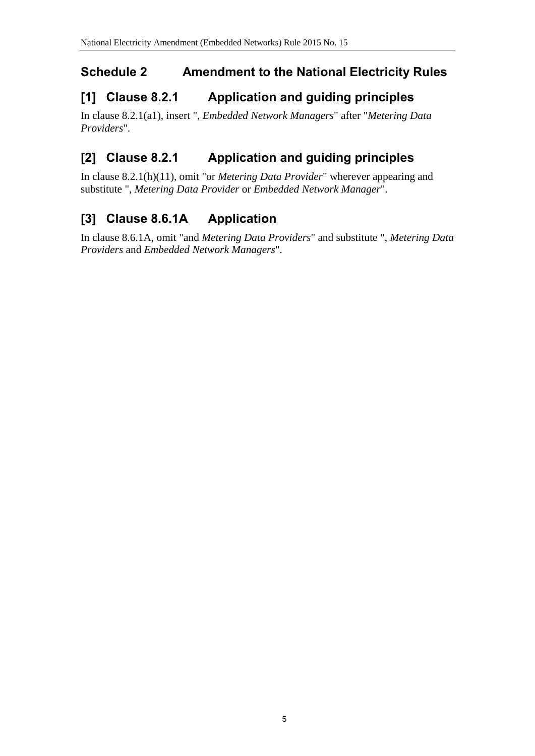# <span id="page-4-0"></span>**Schedule 2 Amendment to the National Electricity Rules**

# **[1] Clause 8.2.1 Application and guiding principles**

In clause 8.2.1(a1), insert ", *Embedded Network Managers*" after "*Metering Data Providers*".

# **[2] Clause 8.2.1 Application and guiding principles**

In clause 8.2.1(h)(11), omit "or *Metering Data Provider*" wherever appearing and substitute ", *Metering Data Provider* or *Embedded Network Manager*".

# **[3] Clause 8.6.1A Application**

In clause 8.6.1A, omit "and *Metering Data Providers*" and substitute ", *Metering Data Providers* and *Embedded Network Managers*".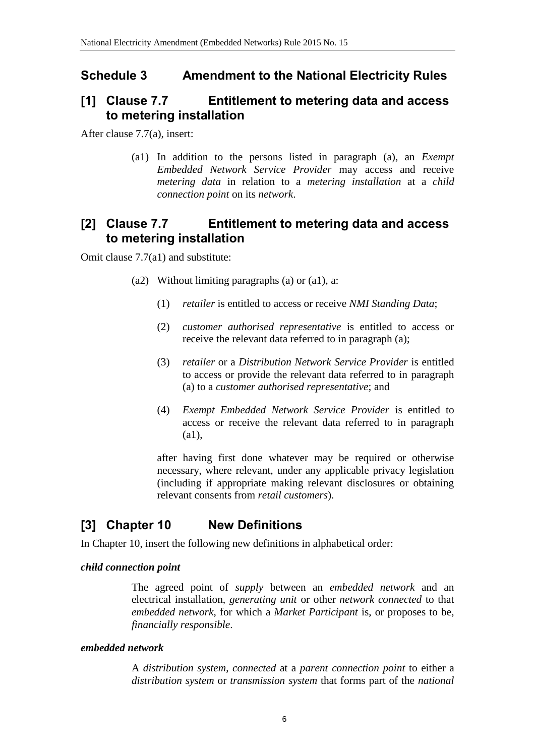### <span id="page-5-0"></span>**Schedule 3 Amendment to the National Electricity Rules**

### **[1] Clause 7.7 Entitlement to metering data and access to metering installation**

After clause 7.7(a), insert:

(a1) In addition to the persons listed in paragraph (a), an *Exempt Embedded Network Service Provider* may access and receive *metering data* in relation to a *metering installation* at a *child connection point* on its *network*.

### **[2] Clause 7.7 Entitlement to metering data and access to metering installation**

Omit clause 7.7(a1) and substitute:

- (a2) Without limiting paragraphs (a) or  $(a1)$ , a:
	- (1) *retailer* is entitled to access or receive *NMI Standing Data*;
	- (2) *customer authorised representative* is entitled to access or receive the relevant data referred to in paragraph (a);
	- (3) *retailer* or a *Distribution Network Service Provider* is entitled to access or provide the relevant data referred to in paragraph (a) to a *customer authorised representative*; and
	- (4) *Exempt Embedded Network Service Provider* is entitled to access or receive the relevant data referred to in paragraph (a1),

after having first done whatever may be required or otherwise necessary, where relevant, under any applicable privacy legislation (including if appropriate making relevant disclosures or obtaining relevant consents from *retail customers*).

### **[3] Chapter 10 New Definitions**

In Chapter 10, insert the following new definitions in alphabetical order:

#### *child connection point*

The agreed point of *supply* between an *embedded network* and an electrical installation, *generating unit* or other *network connected* to that *embedded network*, for which a *Market Participant* is, or proposes to be, *financially responsible*.

#### *embedded network*

A *distribution system*, *connected* at a *parent connection point* to either a *distribution system* or *transmission system* that forms part of the *national*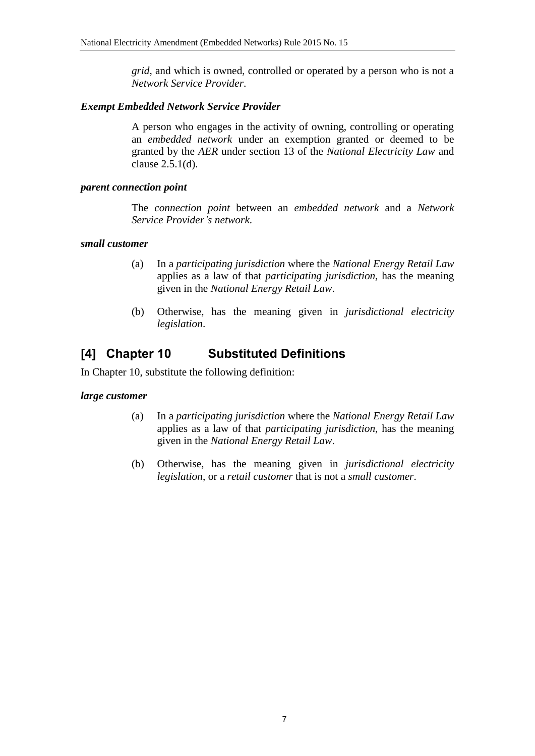*grid*, and which is owned, controlled or operated by a person who is not a *Network Service Provider*.

#### *Exempt Embedded Network Service Provider*

A person who engages in the activity of owning, controlling or operating an *embedded network* under an exemption granted or deemed to be granted by the *AER* under section 13 of the *National Electricity Law* and clause 2.5.1(d).

#### *parent connection point*

The *connection point* between an *embedded network* and a *Network Service Provider's network*.

#### *small customer*

- (a) In a *participating jurisdiction* where the *National Energy Retail Law* applies as a law of that *participating jurisdiction*, has the meaning given in the *National Energy Retail Law*.
- (b) Otherwise, has the meaning given in *jurisdictional electricity legislation*.

### **[4] Chapter 10 Substituted Definitions**

In Chapter 10, substitute the following definition:

#### *large customer*

- (a) In a *participating jurisdiction* where the *National Energy Retail Law* applies as a law of that *participating jurisdiction*, has the meaning given in the *National Energy Retail Law*.
- (b) Otherwise, has the meaning given in *jurisdictional electricity legislation*, or a *retail customer* that is not a *small customer*.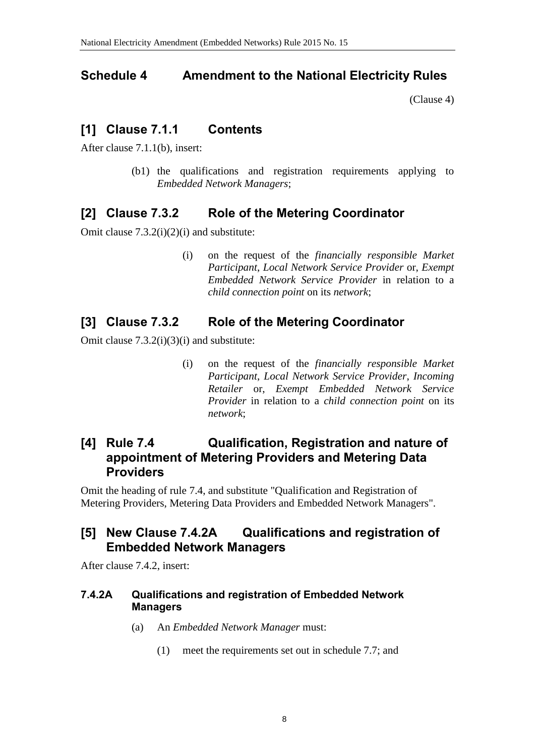### <span id="page-7-0"></span>**Schedule 4 Amendment to the National Electricity Rules**

[\(Clause 4\)](#page-1-1)

### **[1] Clause 7.1.1 Contents**

After clause 7.1.1(b), insert:

(b1) the qualifications and registration requirements applying to *Embedded Network Managers*;

## **[2] Clause 7.3.2 Role of the Metering Coordinator**

Omit clause 7.3.2(i)(2)(i) and substitute:

(i) on the request of the *financially responsible Market Participant*, *Local Network Service Provider* or, *Exempt Embedded Network Service Provider* in relation to a *child connection point* on its *network*;

## **[3] Clause 7.3.2 Role of the Metering Coordinator**

Omit clause 7.3.2(i)(3)(i) and substitute:

(i) on the request of the *financially responsible Market Participant*, *Local Network Service Provider*, *Incoming Retailer* or, *Exempt Embedded Network Service Provider* in relation to a *child connection point* on its *network*;

#### **[4] Rule 7.4 Qualification, Registration and nature of appointment of Metering Providers and Metering Data Providers**

Omit the heading of rule 7.4, and substitute "Qualification and Registration of Metering Providers, Metering Data Providers and Embedded Network Managers".

### **[5] New Clause 7.4.2A Qualifications and registration of Embedded Network Managers**

After clause 7.4.2, insert:

#### **7.4.2A Qualifications and registration of Embedded Network Managers**

- (a) An *Embedded Network Manager* must:
	- (1) meet the requirements set out in schedule 7.7; and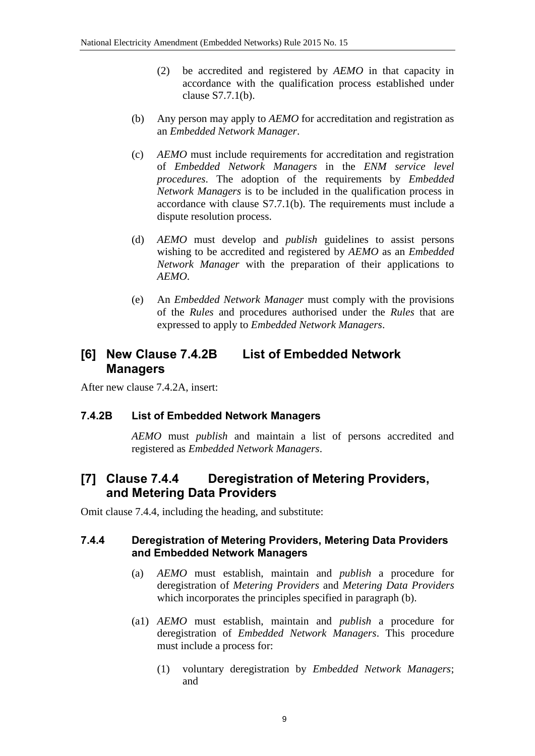- (2) be accredited and registered by *AEMO* in that capacity in accordance with the qualification process established under clause S7.7.1(b).
- (b) Any person may apply to *AEMO* for accreditation and registration as an *Embedded Network Manager*.
- (c) *AEMO* must include requirements for accreditation and registration of *Embedded Network Managers* in the *ENM service level procedures*. The adoption of the requirements by *Embedded Network Managers* is to be included in the qualification process in accordance with clause S7.7.1(b). The requirements must include a dispute resolution process.
- (d) *AEMO* must develop and *publish* guidelines to assist persons wishing to be accredited and registered by *AEMO* as an *Embedded Network Manager* with the preparation of their applications to *AEMO*.
- (e) An *Embedded Network Manager* must comply with the provisions of the *Rules* and procedures authorised under the *Rules* that are expressed to apply to *Embedded Network Managers*.

#### **[6] New Clause 7.4.2B List of Embedded Network Managers**

After new clause 7.4.2A, insert:

#### **7.4.2B List of Embedded Network Managers**

*AEMO* must *publish* and maintain a list of persons accredited and registered as *Embedded Network Managers*.

#### **[7] Clause 7.4.4 Deregistration of Metering Providers, and Metering Data Providers**

Omit clause 7.4.4, including the heading, and substitute:

#### **7.4.4 Deregistration of Metering Providers, Metering Data Providers and Embedded Network Managers**

- (a) *AEMO* must establish, maintain and *publish* a procedure for deregistration of *Metering Providers* and *Metering Data Providers* which incorporates the principles specified in paragraph (b).
- (a1) *AEMO* must establish, maintain and *publish* a procedure for deregistration of *Embedded Network Managers*. This procedure must include a process for:
	- (1) voluntary deregistration by *Embedded Network Managers*; and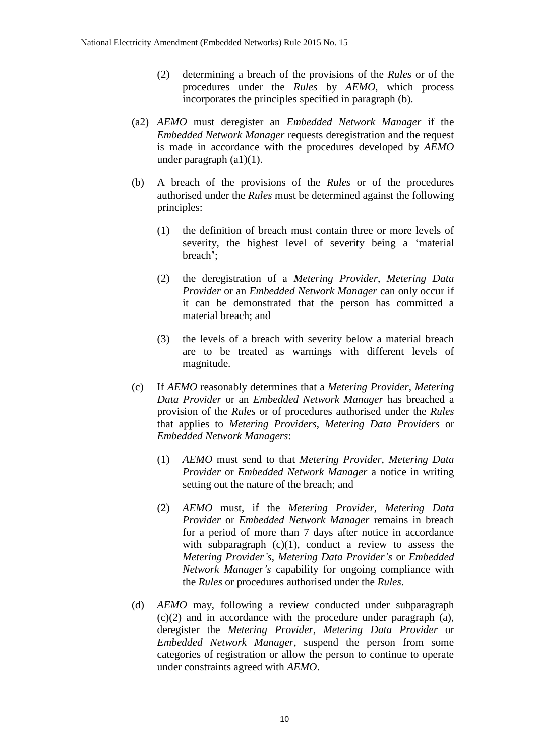- (2) determining a breach of the provisions of the *Rules* or of the procedures under the *Rules* by *AEMO*, which process incorporates the principles specified in paragraph (b).
- (a2) *AEMO* must deregister an *Embedded Network Manager* if the *Embedded Network Manager* requests deregistration and the request is made in accordance with the procedures developed by *AEMO* under paragraph (a1)(1).
- (b) A breach of the provisions of the *Rules* or of the procedures authorised under the *Rules* must be determined against the following principles:
	- (1) the definition of breach must contain three or more levels of severity, the highest level of severity being a 'material breach';
	- (2) the deregistration of a *Metering Provider*, *Metering Data Provider* or an *Embedded Network Manager* can only occur if it can be demonstrated that the person has committed a material breach; and
	- (3) the levels of a breach with severity below a material breach are to be treated as warnings with different levels of magnitude.
- (c) If *AEMO* reasonably determines that a *Metering Provider*, *Metering Data Provider* or an *Embedded Network Manager* has breached a provision of the *Rules* or of procedures authorised under the *Rules* that applies to *Metering Providers*, *Metering Data Providers* or *Embedded Network Managers*:
	- (1) *AEMO* must send to that *Metering Provider*, *Metering Data Provider* or *Embedded Network Manager* a notice in writing setting out the nature of the breach; and
	- (2) *AEMO* must, if the *Metering Provider*, *Metering Data Provider* or *Embedded Network Manager* remains in breach for a period of more than 7 days after notice in accordance with subparagraph  $(c)(1)$ , conduct a review to assess the *Metering Provider's*, *Metering Data Provider's* or *Embedded Network Manager's* capability for ongoing compliance with the *Rules* or procedures authorised under the *Rules*.
- (d) *AEMO* may, following a review conducted under subparagraph (c)(2) and in accordance with the procedure under paragraph (a), deregister the *Metering Provider*, *Metering Data Provider* or *Embedded Network Manager*, suspend the person from some categories of registration or allow the person to continue to operate under constraints agreed with *AEMO*.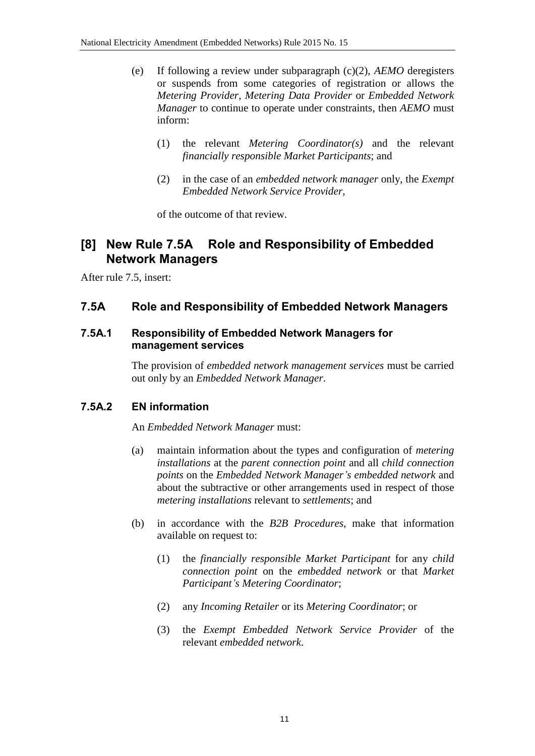- (e) If following a review under subparagraph (c)(2), *AEMO* deregisters or suspends from some categories of registration or allows the *Metering Provider*, *Metering Data Provider* or *Embedded Network Manager* to continue to operate under constraints, then *AEMO* must inform:
	- (1) the relevant *Metering Coordinator(s)* and the relevant *financially responsible Market Participants*; and
	- (2) in the case of an *embedded network manager* only, the *Exempt Embedded Network Service Provider*,

of the outcome of that review.

#### **[8] New Rule 7.5A Role and Responsibility of Embedded Network Managers**

After rule 7.5, insert:

#### **7.5A Role and Responsibility of Embedded Network Managers**

#### **7.5A.1 Responsibility of Embedded Network Managers for management services**

The provision of *embedded network management services* must be carried out only by an *Embedded Network Manager*.

#### **7.5A.2 EN information**

An *Embedded Network Manager* must:

- (a) maintain information about the types and configuration of *metering installations* at the *parent connection point* and all *child connection points* on the *Embedded Network Manager's embedded network* and about the subtractive or other arrangements used in respect of those *metering installations* relevant to *settlements*; and
- (b) in accordance with the *B2B Procedures*, make that information available on request to:
	- (1) the *financially responsible Market Participant* for any *child connection point* on the *embedded network* or that *Market Participant's Metering Coordinator*;
	- (2) any *Incoming Retailer* or its *Metering Coordinator*; or
	- (3) the *Exempt Embedded Network Service Provider* of the relevant *embedded network*.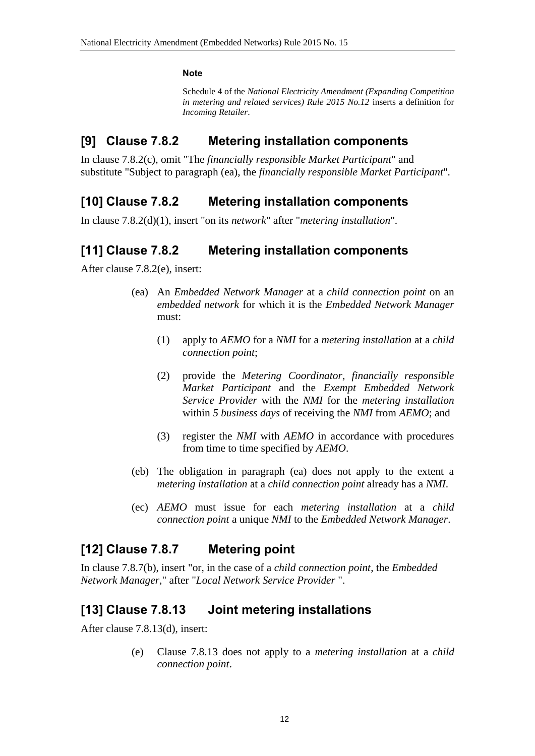#### **Note**

Schedule 4 of the *National Electricity Amendment (Expanding Competition in metering and related services) Rule 2015 No.12* inserts a definition for *Incoming Retailer*.

#### **[9] Clause 7.8.2 Metering installation components**

In clause 7.8.2(c), omit "The *financially responsible Market Participant*" and substitute "Subject to paragraph (ea), the *financially responsible Market Participant*".

#### **[10] Clause 7.8.2 Metering installation components**

In clause 7.8.2(d)(1), insert "on its *network*" after "*metering installation*".

### **[11] Clause 7.8.2 Metering installation components**

After clause 7.8.2(e), insert:

- (ea) An *Embedded Network Manager* at a *child connection point* on an *embedded network* for which it is the *Embedded Network Manager* must:
	- (1) apply to *AEMO* for a *NMI* for a *metering installation* at a *child connection point*;
	- (2) provide the *Metering Coordinator*, *financially responsible Market Participant* and the *Exempt Embedded Network Service Provider* with the *NMI* for the *metering installation* within *5 business days* of receiving the *NMI* from *AEMO*; and
	- (3) register the *NMI* with *AEMO* in accordance with procedures from time to time specified by *AEMO*.
- (eb) The obligation in paragraph (ea) does not apply to the extent a *metering installation* at a *child connection point* already has a *NMI*.
- (ec) *AEMO* must issue for each *metering installation* at a *child connection point* a unique *NMI* to the *Embedded Network Manager*.

### **[12] Clause 7.8.7 Metering point**

In clause 7.8.7(b), insert "or, in the case of a *child connection point*, the *Embedded Network Manager*," after "*Local Network Service Provider* ".

### **[13] Clause 7.8.13 Joint metering installations**

After clause 7.8.13(d), insert:

(e) Clause 7.8.13 does not apply to a *metering installation* at a *child connection point*.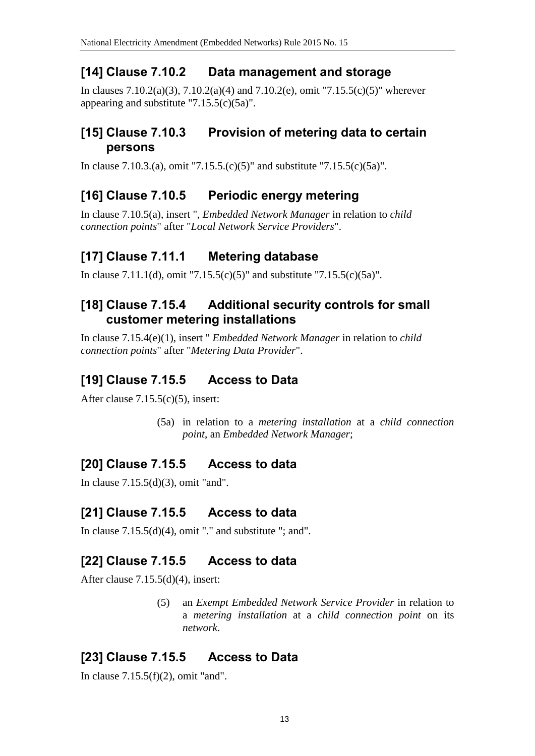## **[14] Clause 7.10.2 Data management and storage**

In clauses 7.10.2(a)(3), 7.10.2(a)(4) and 7.10.2(e), omit "7.15.5(c)(5)" wherever appearing and substitute "7.15.5(c)(5a)".

#### **[15] Clause 7.10.3 Provision of metering data to certain persons**

In clause 7.10.3.(a), omit "7.15.5.(c)(5)" and substitute "7.15.5(c)(5a)".

## **[16] Clause 7.10.5 Periodic energy metering**

In clause 7.10.5(a), insert ", *Embedded Network Manager* in relation to *child connection points*" after "*Local Network Service Providers*".

### **[17] Clause 7.11.1 Metering database**

In clause 7.11.1(d), omit "7.15.5(c)(5)" and substitute "7.15.5(c)(5a)".

#### **[18] Clause 7.15.4 Additional security controls for small customer metering installations**

In clause 7.15.4(e)(1), insert " *Embedded Network Manager* in relation to *child connection points*" after "*Metering Data Provider*".

### **[19] Clause 7.15.5 Access to Data**

After clause 7.15.5(c)(5), insert:

(5a) in relation to a *metering installation* at a *child connection point*, an *Embedded Network Manager*;

# **[20] Clause 7.15.5 Access to data**

In clause 7.15.5(d)(3), omit "and".

### **[21] Clause 7.15.5 Access to data**

In clause  $7.15.5(d)(4)$ , omit "." and substitute "; and".

### **[22] Clause 7.15.5 Access to data**

After clause 7.15.5(d)(4), insert:

(5) an *Exempt Embedded Network Service Provider* in relation to a *metering installation* at a *child connection point* on its *network*.

# **[23] Clause 7.15.5 Access to Data**

In clause  $7.15.5(f)(2)$ , omit "and".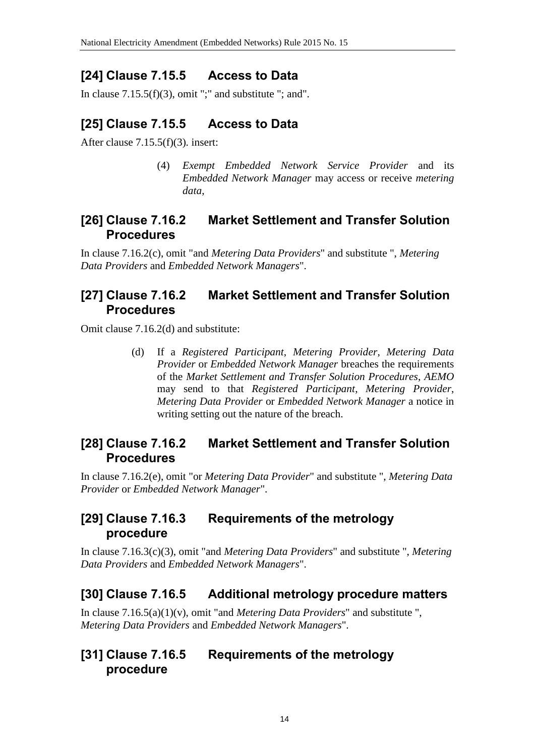## **[24] Clause 7.15.5 Access to Data**

In clause  $7.15.5(f)(3)$ , omit ";" and substitute "; and".

# **[25] Clause 7.15.5 Access to Data**

After clause 7.15.5(f)(3). insert:

(4) *Exempt Embedded Network Service Provider* and its *Embedded Network Manager* may access or receive *metering data*,

#### **[26] Clause 7.16.2 Market Settlement and Transfer Solution Procedures**

In clause 7.16.2(c), omit "and *Metering Data Providers*" and substitute ", *Metering Data Providers* and *Embedded Network Managers*".

### **[27] Clause 7.16.2 Market Settlement and Transfer Solution Procedures**

Omit clause 7.16.2(d) and substitute:

(d) If a *Registered Participant*, *Metering Provider*, *Metering Data Provider* or *Embedded Network Manager* breaches the requirements of the *Market Settlement and Transfer Solution Procedures*, *AEMO* may send to that *Registered Participant*, *Metering Provider*, *Metering Data Provider* or *Embedded Network Manager* a notice in writing setting out the nature of the breach.

### **[28] Clause 7.16.2 Market Settlement and Transfer Solution Procedures**

In clause 7.16.2(e), omit "or *Metering Data Provider*" and substitute ", *Metering Data Provider* or *Embedded Network Manager*".

### **[29] Clause 7.16.3 Requirements of the metrology procedure**

In clause 7.16.3(c)(3), omit "and *Metering Data Providers*" and substitute ", *Metering Data Providers* and *Embedded Network Managers*".

### **[30] Clause 7.16.5 Additional metrology procedure matters**

In clause 7.16.5(a)(1)(v), omit "and *Metering Data Providers*" and substitute ", *Metering Data Providers* and *Embedded Network Managers*".

#### **[31] Clause 7.16.5 Requirements of the metrology procedure**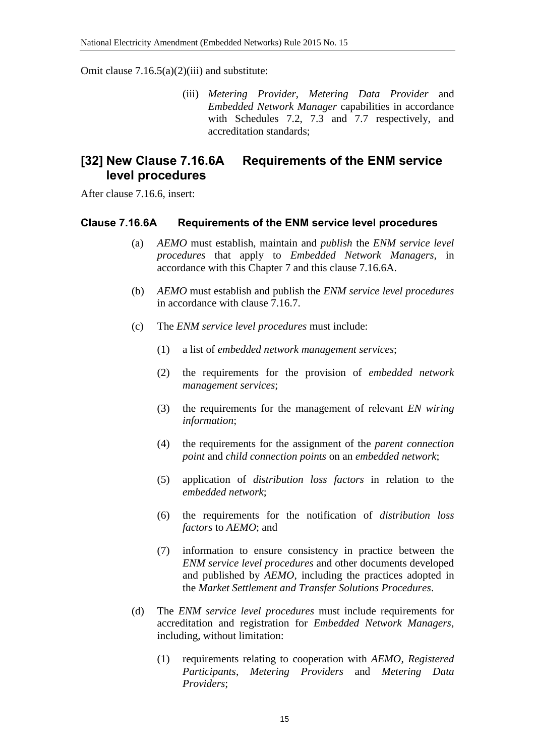Omit clause  $7.16.5(a)(2)(iii)$  and substitute:

(iii) *Metering Provider*, *Metering Data Provider* and *Embedded Network Manager* capabilities in accordance with Schedules 7.2, 7.3 and 7.7 respectively, and accreditation standards;

#### **[32] New Clause 7.16.6A Requirements of the ENM service level procedures**

After clause 7.16.6, insert:

#### **Clause 7.16.6A Requirements of the ENM service level procedures**

- (a) *AEMO* must establish, maintain and *publish* the *ENM service level procedures* that apply to *Embedded Network Managers*, in accordance with this Chapter 7 and this clause 7.16.6A.
- (b) *AEMO* must establish and publish the *ENM service level procedures* in accordance with clause 7.16.7.
- (c) The *ENM service level procedures* must include:
	- (1) a list of *embedded network management services*;
	- (2) the requirements for the provision of *embedded network management services*;
	- (3) the requirements for the management of relevant *EN wiring information*;
	- (4) the requirements for the assignment of the *parent connection point* and *child connection points* on an *embedded network*;
	- (5) application of *distribution loss factors* in relation to the *embedded network*;
	- (6) the requirements for the notification of *distribution loss factors* to *AEMO*; and
	- (7) information to ensure consistency in practice between the *ENM service level procedures* and other documents developed and published by *AEMO*, including the practices adopted in the *Market Settlement and Transfer Solutions Procedures*.
- (d) The *ENM service level procedures* must include requirements for accreditation and registration for *Embedded Network Managers*, including, without limitation:
	- (1) requirements relating to cooperation with *AEMO*, *Registered Participants*, *Metering Providers* and *Metering Data Providers*;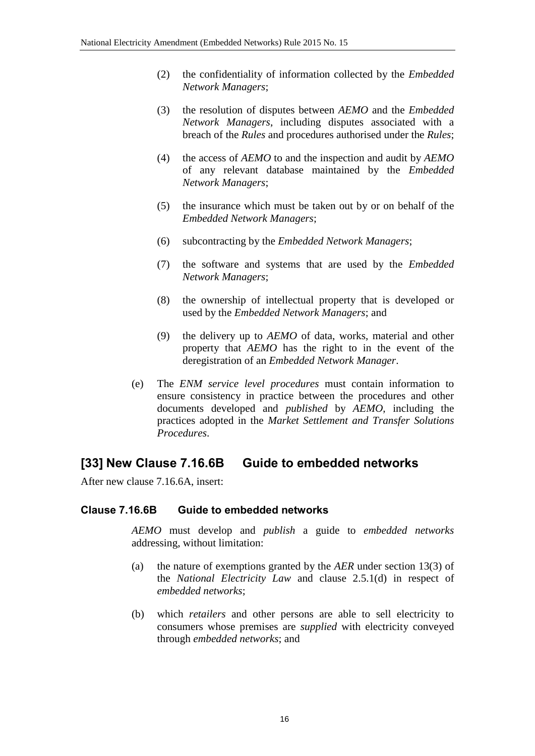- (2) the confidentiality of information collected by the *Embedded Network Managers*;
- (3) the resolution of disputes between *AEMO* and the *Embedded Network Managers*, including disputes associated with a breach of the *Rules* and procedures authorised under the *Rules*;
- (4) the access of *AEMO* to and the inspection and audit by *AEMO* of any relevant database maintained by the *Embedded Network Managers*;
- (5) the insurance which must be taken out by or on behalf of the *Embedded Network Managers*;
- (6) subcontracting by the *Embedded Network Managers*;
- (7) the software and systems that are used by the *Embedded Network Managers*;
- (8) the ownership of intellectual property that is developed or used by the *Embedded Network Managers*; and
- (9) the delivery up to *AEMO* of data, works, material and other property that *AEMO* has the right to in the event of the deregistration of an *Embedded Network Manager*.
- (e) The *ENM service level procedures* must contain information to ensure consistency in practice between the procedures and other documents developed and *published* by *AEMO*, including the practices adopted in the *Market Settlement and Transfer Solutions Procedures*.

#### **[33] New Clause 7.16.6B Guide to embedded networks**

After new clause 7.16.6A, insert:

#### **Clause 7.16.6B Guide to embedded networks**

*AEMO* must develop and *publish* a guide to *embedded networks* addressing, without limitation:

- (a) the nature of exemptions granted by the *AER* under section 13(3) of the *National Electricity Law* and clause 2.5.1(d) in respect of *embedded networks*;
- (b) which *retailers* and other persons are able to sell electricity to consumers whose premises are *supplied* with electricity conveyed through *embedded networks*; and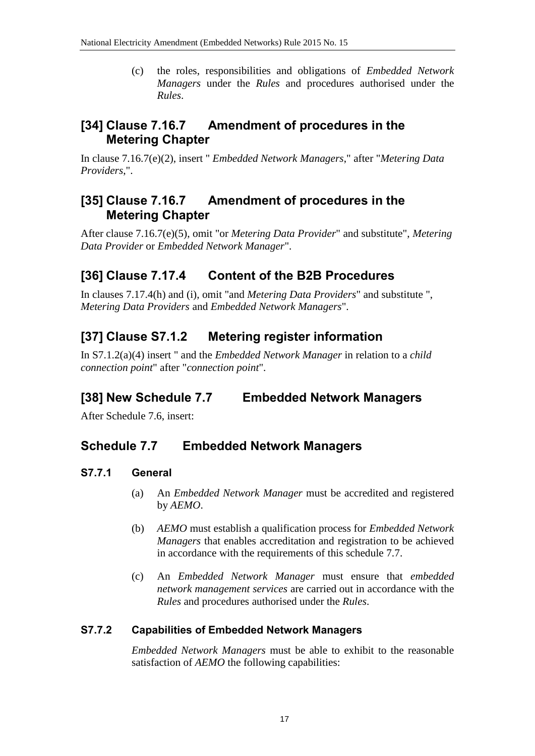(c) the roles, responsibilities and obligations of *Embedded Network Managers* under the *Rules* and procedures authorised under the *Rules*.

### **[34] Clause 7.16.7 Amendment of procedures in the Metering Chapter**

In clause 7.16.7(e)(2), insert " *Embedded Network Managers*," after "*Metering Data Providers*,".

### **[35] Clause 7.16.7 Amendment of procedures in the Metering Chapter**

After clause 7.16.7(e)(5), omit "or *Metering Data Provider*" and substitute", *Metering Data Provider* or *Embedded Network Manager*".

# **[36] Clause 7.17.4 Content of the B2B Procedures**

In clauses 7.17.4(h) and (i), omit "and *Metering Data Providers*" and substitute ", *Metering Data Providers* and *Embedded Network Managers*".

## **[37] Clause S7.1.2 Metering register information**

In S7.1.2(a)(4) insert " and the *Embedded Network Manager* in relation to a *child connection point*" after "*connection point*".

# **[38] New Schedule 7.7 Embedded Network Managers**

After Schedule 7.6, insert:

### **Schedule 7.7 Embedded Network Managers**

#### **S7.7.1 General**

- (a) An *Embedded Network Manager* must be accredited and registered by *AEMO*.
- (b) *AEMO* must establish a qualification process for *Embedded Network Managers* that enables accreditation and registration to be achieved in accordance with the requirements of this schedule 7.7.
- (c) An *Embedded Network Manager* must ensure that *embedded network management services* are carried out in accordance with the *Rules* and procedures authorised under the *Rules*.

#### **S7.7.2 Capabilities of Embedded Network Managers**

*Embedded Network Managers* must be able to exhibit to the reasonable satisfaction of *AEMO* the following capabilities: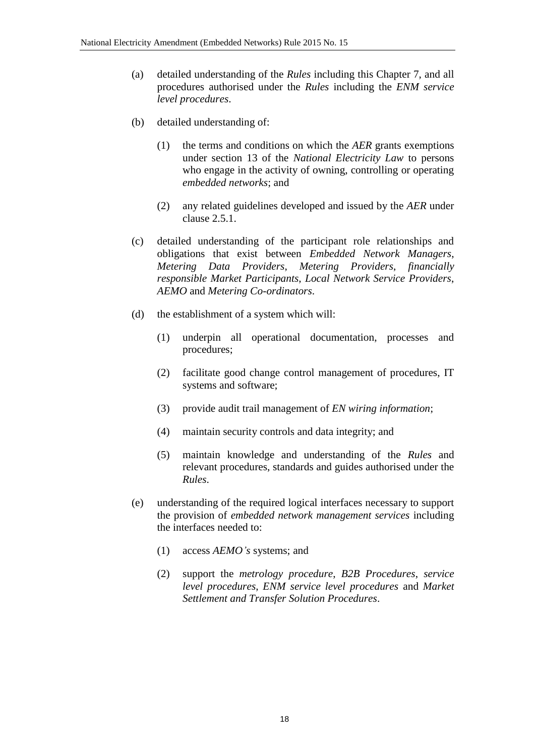- (a) detailed understanding of the *Rules* including this Chapter 7, and all procedures authorised under the *Rules* including the *ENM service level procedures*.
- (b) detailed understanding of:
	- (1) the terms and conditions on which the *AER* grants exemptions under section 13 of the *National Electricity Law* to persons who engage in the activity of owning, controlling or operating *embedded networks*; and
	- (2) any related guidelines developed and issued by the *AER* under clause 2.5.1.
- (c) detailed understanding of the participant role relationships and obligations that exist between *Embedded Network Managers*, *Metering Data Providers*, *Metering Providers*, *financially responsible Market Participants*, *Local Network Service Providers*, *AEMO* and *Metering Co-ordinators*.
- (d) the establishment of a system which will:
	- (1) underpin all operational documentation, processes and procedures;
	- (2) facilitate good change control management of procedures, IT systems and software;
	- (3) provide audit trail management of *EN wiring information*;
	- (4) maintain security controls and data integrity; and
	- (5) maintain knowledge and understanding of the *Rules* and relevant procedures, standards and guides authorised under the *Rules*.
- (e) understanding of the required logical interfaces necessary to support the provision of *embedded network management services* including the interfaces needed to:
	- (1) access *AEMO's* systems; and
	- (2) support the *metrology procedure*, *B2B Procedures*, *service level procedures*, *ENM service level procedures* and *Market Settlement and Transfer Solution Procedures*.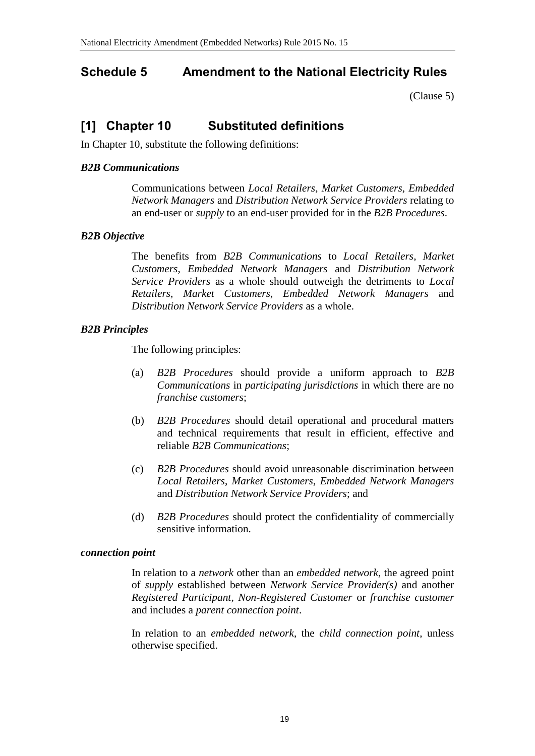#### <span id="page-18-0"></span>**Schedule 5 Amendment to the National Electricity Rules**

[\(Clause 5\)](#page-1-2)

### **[1] Chapter 10 Substituted definitions**

In Chapter 10, substitute the following definitions:

#### *B2B Communications*

Communications between *Local Retailers*, *Market Customers*, *Embedded Network Managers* and *Distribution Network Service Providers* relating to an end-user or *supply* to an end-user provided for in the *B2B Procedures*.

#### *B2B Objective*

The benefits from *B2B Communications* to *Local Retailers*, *Market Customers*, *Embedded Network Managers* and *Distribution Network Service Providers* as a whole should outweigh the detriments to *Local Retailers*, *Market Customers*, *Embedded Network Managers* and *Distribution Network Service Providers* as a whole.

#### *B2B Principles*

The following principles:

- (a) *B2B Procedures* should provide a uniform approach to *B2B Communications* in *participating jurisdictions* in which there are no *franchise customers*;
- (b) *B2B Procedures* should detail operational and procedural matters and technical requirements that result in efficient, effective and reliable *B2B Communications*;
- (c) *B2B Procedures* should avoid unreasonable discrimination between *Local Retailers*, *Market Customers*, *Embedded Network Managers* and *Distribution Network Service Providers*; and
- (d) *B2B Procedures* should protect the confidentiality of commercially sensitive information.

#### *connection point*

In relation to a *network* other than an *embedded network*, the agreed point of *supply* established between *Network Service Provider(s)* and another *Registered Participant*, *Non-Registered Customer* or *franchise customer* and includes a *parent connection point*.

In relation to an *embedded network*, the *child connection point*, unless otherwise specified.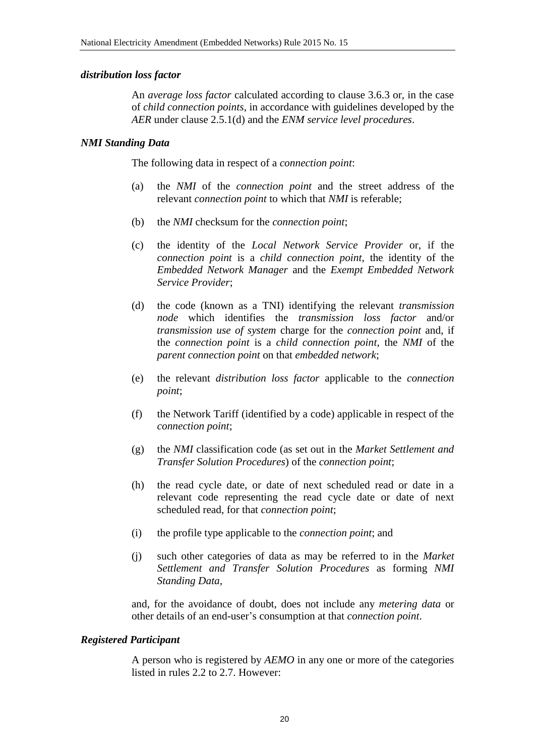#### *distribution loss factor*

An *average loss factor* calculated according to clause 3.6.3 or, in the case of *child connection points*, in accordance with guidelines developed by the *AER* under clause 2.5.1(d) and the *ENM service level procedures*.

#### *NMI Standing Data*

The following data in respect of a *connection point*:

- (a) the *NMI* of the *connection point* and the street address of the relevant *connection point* to which that *NMI* is referable;
- (b) the *NMI* checksum for the *connection point*;
- (c) the identity of the *Local Network Service Provider* or, if the *connection point* is a *child connection point*, the identity of the *Embedded Network Manager* and the *Exempt Embedded Network Service Provider*;
- (d) the code (known as a TNI) identifying the relevant *transmission node* which identifies the *transmission loss factor* and/or *transmission use of system* charge for the *connection point* and, if the *connection point* is a *child connection point*, the *NMI* of the *parent connection point* on that *embedded network*;
- (e) the relevant *distribution loss factor* applicable to the *connection point*;
- (f) the Network Tariff (identified by a code) applicable in respect of the *connection point*;
- (g) the *NMI* classification code (as set out in the *Market Settlement and Transfer Solution Procedures*) of the *connection point*;
- (h) the read cycle date, or date of next scheduled read or date in a relevant code representing the read cycle date or date of next scheduled read, for that *connection point*;
- (i) the profile type applicable to the *connection point*; and
- (j) such other categories of data as may be referred to in the *Market Settlement and Transfer Solution Procedures* as forming *NMI Standing Data*,

and, for the avoidance of doubt, does not include any *metering data* or other details of an end-user's consumption at that *connection point*.

#### *Registered Participant*

A person who is registered by *AEMO* in any one or more of the categories listed in rules 2.2 to 2.7. However: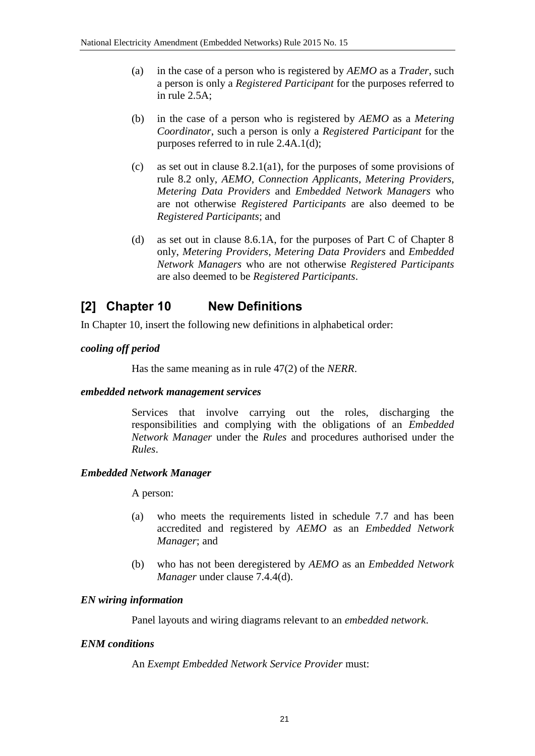- (a) in the case of a person who is registered by *AEMO* as a *Trader*, such a person is only a *Registered Participant* for the purposes referred to in rule 2.5A;
- (b) in the case of a person who is registered by *AEMO* as a *Metering Coordinator*, such a person is only a *Registered Participant* for the purposes referred to in rule 2.4A.1(d);
- (c) as set out in clause 8.2.1(a1), for the purposes of some provisions of rule 8.2 only, *AEMO*, *Connection Applicants*, *Metering Providers*, *Metering Data Providers* and *Embedded Network Managers* who are not otherwise *Registered Participants* are also deemed to be *Registered Participants*; and
- (d) as set out in clause 8.6.1A, for the purposes of Part C of Chapter 8 only, *Metering Providers*, *Metering Data Providers* and *Embedded Network Managers* who are not otherwise *Registered Participants* are also deemed to be *Registered Participants*.

## **[2] Chapter 10 New Definitions**

In Chapter 10, insert the following new definitions in alphabetical order:

#### *cooling off period*

Has the same meaning as in rule 47(2) of the *NERR*.

#### *embedded network management services*

Services that involve carrying out the roles, discharging the responsibilities and complying with the obligations of an *Embedded Network Manager* under the *Rules* and procedures authorised under the *Rules*.

#### *Embedded Network Manager*

A person:

- (a) who meets the requirements listed in schedule 7.7 and has been accredited and registered by *AEMO* as an *Embedded Network Manager*; and
- (b) who has not been deregistered by *AEMO* as an *Embedded Network Manager* under clause 7.4.4(d).

#### *EN wiring information*

Panel layouts and wiring diagrams relevant to an *embedded network*.

#### *ENM conditions*

An *Exempt Embedded Network Service Provider* must: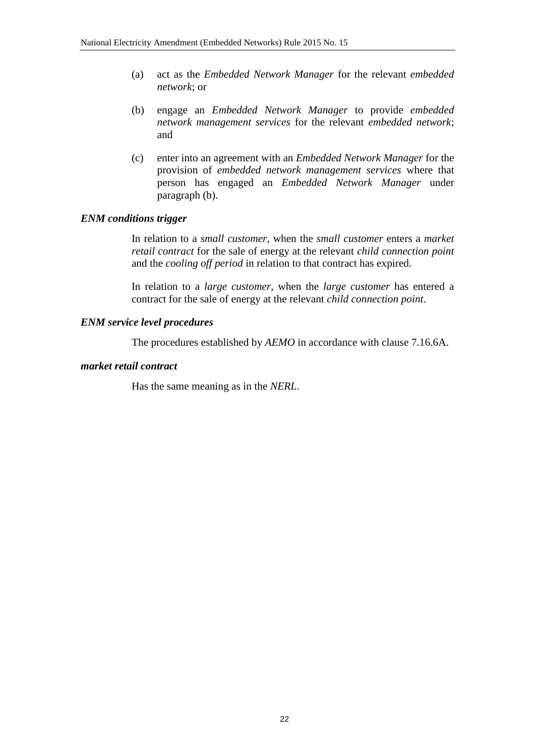- (a) act as the *Embedded Network Manager* for the relevant *embedded network*; or
- (b) engage an *Embedded Network Manager* to provide *embedded network management services* for the relevant *embedded network*; and
- (c) enter into an agreement with an *Embedded Network Manager* for the provision of *embedded network management services* where that person has engaged an *Embedded Network Manager* under paragraph (b).

#### *ENM conditions trigger*

In relation to a *small customer*, when the *small customer* enters a *market retail contract* for the sale of energy at the relevant *child connection point* and the *cooling off period* in relation to that contract has expired.

In relation to a *large customer*, when the *large customer* has entered a contract for the sale of energy at the relevant *child connection point*.

#### *ENM service level procedures*

The procedures established by *AEMO* in accordance with clause 7.16.6A.

#### *market retail contract*

Has the same meaning as in the *NERL*.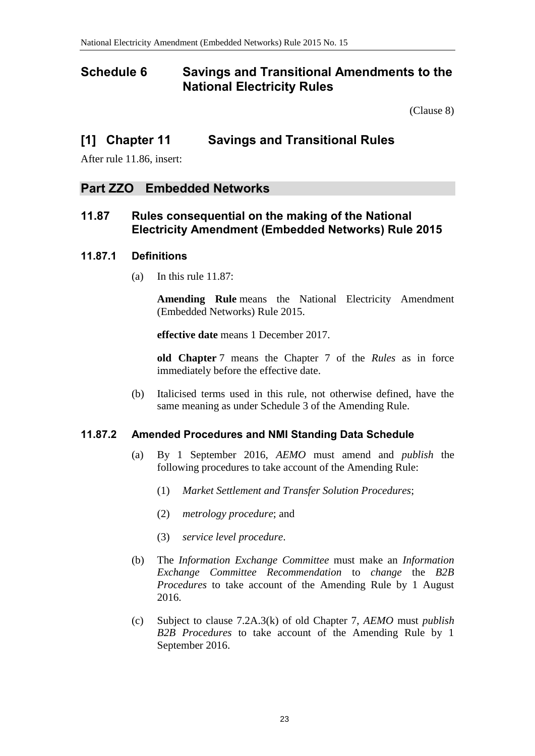#### <span id="page-22-0"></span>**Schedule 6 Savings and Transitional Amendments to the National Electricity Rules**

[\(Clause 8\)](#page-2-0)

#### **[1] Chapter 11 Savings and Transitional Rules**

After rule 11.86, insert:

#### **Part ZZO Embedded Networks**

#### **11.87 Rules consequential on the making of the National Electricity Amendment (Embedded Networks) Rule 2015**

#### **11.87.1 Definitions**

(a) In this rule 11.87:

**Amending Rule** means the National Electricity Amendment (Embedded Networks) Rule 2015.

**effective date** means 1 December 2017.

**old Chapter** 7 means the Chapter 7 of the *Rules* as in force immediately before the effective date.

(b) Italicised terms used in this rule, not otherwise defined, have the same meaning as under Schedule 3 of the Amending Rule.

#### **11.87.2 Amended Procedures and NMI Standing Data Schedule**

- (a) By 1 September 2016, *AEMO* must amend and *publish* the following procedures to take account of the Amending Rule:
	- (1) *Market Settlement and Transfer Solution Procedures*;
	- (2) *metrology procedure*; and
	- (3) *service level procedure*.
- (b) The *Information Exchange Committee* must make an *Information Exchange Committee Recommendation* to *change* the *B2B Procedures* to take account of the Amending Rule by 1 August 2016.
- (c) Subject to clause 7.2A.3(k) of old Chapter 7, *AEMO* must *publish B2B Procedures* to take account of the Amending Rule by 1 September 2016.